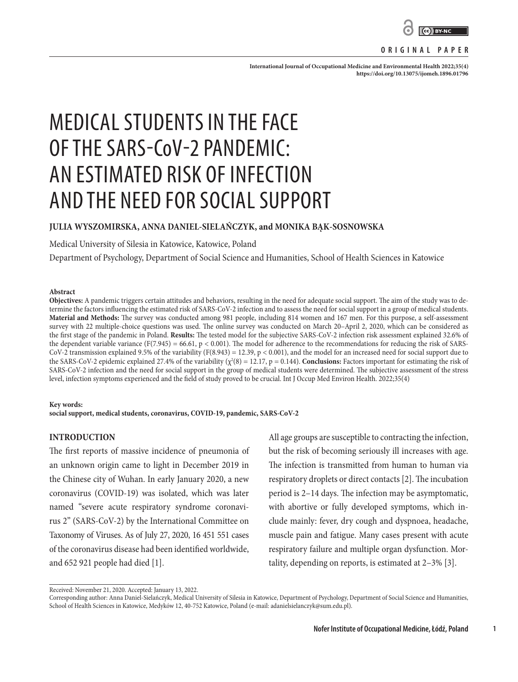

## **ORIGINAL PAPER**

International Journal of Occupational Medicine and Environmental Health 2022;35(4): **<https://doi.org/10.13075/ijomeh.1896.01796>**

# MEDICAL STUDENTS IN THE FACE OF THE SARS-CoV-2 PANDEMIC: AN ESTIMATED RISK OF INFECTION AND THE NEED FOR SOCIAL SUPPORT

## **JULIA WYSZOMIRSKA, ANNA DANIEL-SIELAŃCZYK, and MONIKA BĄK-SOSNOWSKA**

Medical University of Silesia in Katowice, Katowice, Poland

Department of Psychology, Department of Social Science and Humanities, School of Health Sciences in Katowice

#### **Abstract**

**Objectives:** A pandemic triggers certain attitudes and behaviors, resulting in the need for adequate social support. The aim of the study was to determine the factors influencing the estimated risk of SARS-CoV-2 infection and to assess the need for social support in a group of medical students. **Material and Methods:** The survey was conducted among 981 people, including 814 women and 167 men. For this purpose, a self-assessment survey with 22 multiple-choice questions was used. The online survey was conducted on March 20–April 2, 2020, which can be considered as the first stage of the pandemic in Poland. **Results:** The tested model for the subjective SARS-CoV-2 infection risk assessment explained 32.6% of the dependent variable variance (F(7.945) = 66.61, p < 0.001). The model for adherence to the recommendations for reducing the risk of SARS-CoV-2 transmission explained 9.5% of the variability (F(8.943) = 12.39, p < 0.001), and the model for an increased need for social support due to the SARS-CoV-2 epidemic explained 27.4% of the variability  $(\chi^2(8) = 12.17, p = 0.144)$ . **Conclusions:** Factors important for estimating the risk of SARS-CoV-2 infection and the need for social support in the group of medical students were determined. The subjective assessment of the stress level, infection symptoms experienced and the field of study proved to be crucial. Int J Occup Med Environ Health. 2022;35(4)

#### **Key words:**

**social support, medical students, coronavirus, COVID-19, pandemic, SARS-CoV-2**

## **INTRODUCTION**

The first reports of massive incidence of pneumonia of an unknown origin came to light in December 2019 in the Chinese city of Wuhan. In early January 2020, a new coronavirus (COVID-19) was isolated, which was later named "severe acute respiratory syndrome coronavirus 2" (SARS-CoV-2) by the International Committee on Taxonomy of Viruses. As of July 27, 2020, 16 451 551 cases of the coronavirus disease had been identified worldwide, and 652 921 people had died [1].

All age groups are susceptible to contracting the infection, but the risk of becoming seriously ill increases with age. The infection is transmitted from human to human via respiratory droplets or direct contacts [2]. The incubation period is 2–14 days. The infection may be asymptomatic, with abortive or fully developed symptoms, which include mainly: fever, dry cough and dyspnoea, headache, muscle pain and fatigue. Many cases present with acute respiratory failure and multiple organ dysfunction. Mortality, depending on reports, is estimated at 2–3% [3].

**1**

Received: November 21, 2020. Accepted: January 13, 2022.

Corresponding author: Anna Daniel-Sielańczyk, Medical University of Silesia in Katowice, Department of Psychology, Department of Social Science and Humanities, School of Health Sciences in Katowice, Medyków 12, 40-752 Katowice, Poland (e-mail: adanielsielanczyk@sum.edu.pl).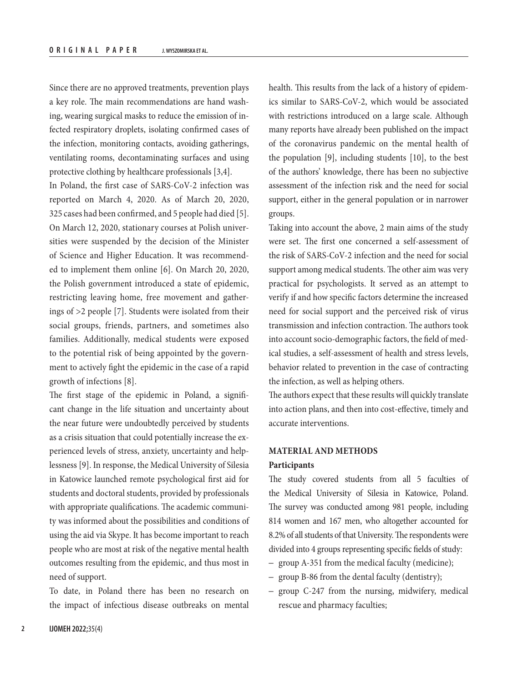Since there are no approved treatments, prevention plays a key role. The main recommendations are hand washing, wearing surgical masks to reduce the emission of infected respiratory droplets, isolating confirmed cases of the infection, monitoring contacts, avoiding gatherings, ventilating rooms, decontaminating surfaces and using protective clothing by healthcare professionals [3,4].

In Poland, the first case of SARS-CoV-2 infection was reported on March 4, 2020. As of March 20, 2020, 325 cases had been confirmed, and 5 people had died [5]. On March 12, 2020, stationary courses at Polish universities were suspended by the decision of the Minister of Science and Higher Education. It was recommended to implement them online [6]. On March 20, 2020, the Polish government introduced a state of epidemic, restricting leaving home, free movement and gatherings of >2 people [7]. Students were isolated from their social groups, friends, partners, and sometimes also families. Additionally, medical students were exposed to the potential risk of being appointed by the government to actively fight the epidemic in the case of a rapid growth of infections [8].

The first stage of the epidemic in Poland, a significant change in the life situation and uncertainty about the near future were undoubtedly perceived by students as a crisis situation that could potentially increase the experienced levels of stress, anxiety, uncertainty and helplessness [9]. In response, the Medical University of Silesia in Katowice launched remote psychological first aid for students and doctoral students, provided by professionals with appropriate qualifications. The academic community was informed about the possibilities and conditions of using the aid via Skype. It has become important to reach people who are most at risk of the negative mental health outcomes resulting from the epidemic, and thus most in need of support.

To date, in Poland there has been no research on the impact of infectious disease outbreaks on mental health. This results from the lack of a history of epidemics similar to SARS-CoV-2, which would be associated with restrictions introduced on a large scale. Although many reports have already been published on the impact of the coronavirus pandemic on the mental health of the population [9], including students [10], to the best of the authors' knowledge, there has been no subjective assessment of the infection risk and the need for social support, either in the general population or in narrower groups.

Taking into account the above, 2 main aims of the study were set. The first one concerned a self-assessment of the risk of SARS-CoV-2 infection and the need for social support among medical students. The other aim was very practical for psychologists. It served as an attempt to verify if and how specific factors determine the increased need for social support and the perceived risk of virus transmission and infection contraction. The authors took into account socio-demographic factors, the field of medical studies, a self-assessment of health and stress levels, behavior related to prevention in the case of contracting the infection, as well as helping others.

The authors expect that these results will quickly translate into action plans, and then into cost-effective, timely and accurate interventions.

# **MATERIAL AND METHODS**

#### **Participants**

The study covered students from all 5 faculties of the Medical University of Silesia in Katowice, Poland. The survey was conducted among 981 people, including 814 women and 167 men, who altogether accounted for 8.2% of all students of that University. The respondents were divided into 4 groups representing specific fields of study:

- group A-351 from the medical faculty (medicine);
- group B-86 from the dental faculty (dentistry);
- group C-247 from the nursing, midwifery, medical rescue and pharmacy faculties;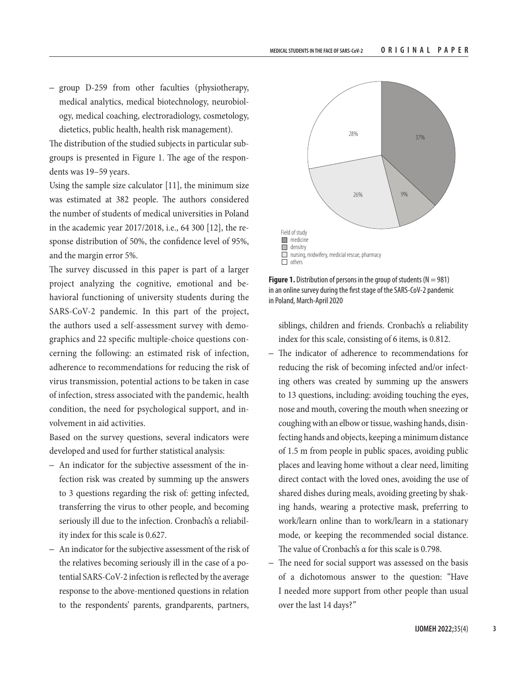– group D-259 from other faculties (physiotherapy, medical analytics, medical biotechnology, neurobiology, medical coaching, electroradiology, cosmetology, dietetics, public health, health risk management).

The distribution of the studied subjects in particular subgroups is presented in Figure 1. The age of the respondents was 19–59 years.

Using the sample size calculator [11], the minimum size was estimated at 382 people. The authors considered the number of students of medical universities in Poland in the academic year 2017/2018, i.e., 64 300 [12], the response distribution of 50%, the confidence level of 95%, and the margin error 5%.

The survey discussed in this paper is part of a larger project analyzing the cognitive, emotional and behavioral functioning of university students during the SARS-CoV-2 pandemic. In this part of the project, the authors used a self-assessment survey with demographics and 22 specific multiple-choice questions concerning the following: an estimated risk of infection, adherence to recommendations for reducing the risk of virus transmission, potential actions to be taken in case of infection, stress associated with the pandemic, health condition, the need for psychological support, and involvement in aid activities.

Based on the survey questions, several indicators were developed and used for further statistical analysis:

- An indicator for the subjective assessment of the infection risk was created by summing up the answers to 3 questions regarding the risk of: getting infected, transferring the virus to other people, and becoming seriously ill due to the infection. Cronbach's α reliability index for this scale is 0.627.
- An indicator for the subjective assessment of the risk of the relatives becoming seriously ill in the case of a potential SARS-CoV-2 infection is reflected by the average response to the above-mentioned questions in relation to the respondents' parents, grandparents, partners,



**Figure 1.** Distribution of persons in the group of students ( $N = 981$ ) in an online survey during the first stage of the SARS-CoV-2 pandemic in Poland, March-April 2020

siblings, children and friends. Cronbach's α reliability index for this scale, consisting of 6 items, is 0.812.

- The indicator of adherence to recommendations for reducing the risk of becoming infected and/or infecting others was created by summing up the answers to 13 questions, including: avoiding touching the eyes, nose and mouth, covering the mouth when sneezing or coughing with an elbow or tissue, washing hands, disinfecting hands and objects, keeping a minimum distance of 1.5 m from people in public spaces, avoiding public places and leaving home without a clear need, limiting direct contact with the loved ones, avoiding the use of shared dishes during meals, avoiding greeting by shaking hands, wearing a protective mask, preferring to work/learn online than to work/learn in a stationary mode, or keeping the recommended social distance. The value of Cronbach's α for this scale is 0.798.
- The need for social support was assessed on the basis of a dichotomous answer to the question: "Have I needed more support from other people than usual over the last 14 days?"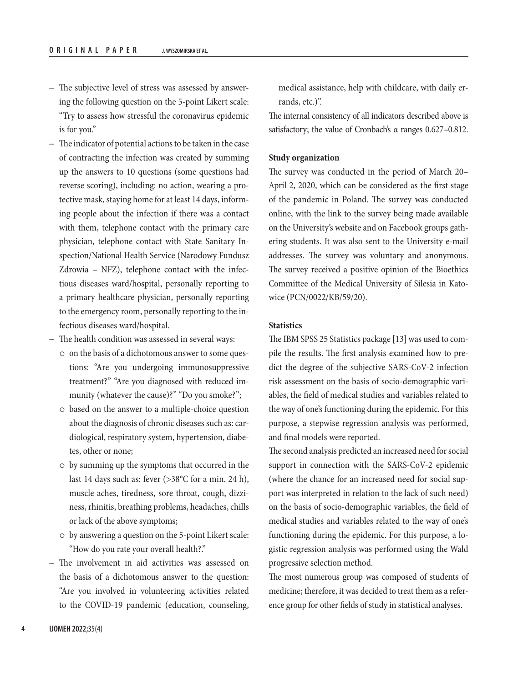- The subjective level of stress was assessed by answering the following question on the 5-point Likert scale: "Try to assess how stressful the coronavirus epidemic is for you."
- The indicator of potential actions to be taken in the case of contracting the infection was created by summing up the answers to 10 questions (some questions had reverse scoring), including: no action, wearing a protective mask, staying home for at least 14 days, informing people about the infection if there was a contact with them, telephone contact with the primary care physician, telephone contact with State Sanitary Inspection/National Health Service (Narodowy Fundusz Zdrowia - NFZ), telephone contact with the infectious diseases ward/hospital, personally reporting to a primary healthcare physician, personally reporting to the emergency room, personally reporting to the infectious diseases ward/hospital.
- The health condition was assessed in several ways:
	- $\circ$  on the basis of a dichotomous answer to some questions: "Are you undergoing immunosuppressive treatment?" "Are you diagnosed with reduced immunity (whatever the cause)?" "Do you smoke?";
	- $\circ$  based on the answer to a multiple-choice question about the diagnosis of chronic diseases such as: cardiological, respiratory system, hypertension, diabetes, other or none;
	- $\circ$  by summing up the symptoms that occurred in the last 14 days such as: fever (>38°C for a min. 24 h), muscle aches, tiredness, sore throat, cough, dizziness, rhinitis, breathing problems, headaches, chills or lack of the above symptoms;
	- $\circ$  by answering a question on the 5-point Likert scale: "How do you rate your overall health?."
- The involvement in aid activities was assessed on the basis of a dichotomous answer to the question: "Are you involved in volunteering activities related to the COVID-19 pandemic (education, counseling,

medical assistance, help with childcare, with daily errands, etc.)".

The internal consistency of all indicators described above is satisfactory; the value of Cronbach's α ranges 0.627–0.812.

### **Study organization**

The survey was conducted in the period of March 20– April 2, 2020, which can be considered as the first stage of the pandemic in Poland. The survey was conducted online, with the link to the survey being made available on the University's website and on Facebook groups gathering students. It was also sent to the University e-mail addresses. The survey was voluntary and anonymous. The survey received a positive opinion of the Bioethics Committee of the Medical University of Silesia in Katowice (PCN/0022/KB/59/20).

## **Statistics**

The IBM SPSS 25 Statistics package [13] was used to compile the results. The first analysis examined how to predict the degree of the subjective SARS-CoV-2 infection risk assessment on the basis of socio-demographic variables, the field of medical studies and variables related to the way of one's functioning during the epidemic. For this purpose, a stepwise regression analysis was performed, and final models were reported.

The second analysis predicted an increased need for social support in connection with the SARS-CoV-2 epidemic (where the chance for an increased need for social support was interpreted in relation to the lack of such need) on the basis of socio-demographic variables, the field of medical studies and variables related to the way of one's functioning during the epidemic. For this purpose, a logistic regression analysis was performed using the Wald progressive selection method.

The most numerous group was composed of students of medicine; therefore, it was decided to treat them as a reference group for other fields of study in statistical analyses.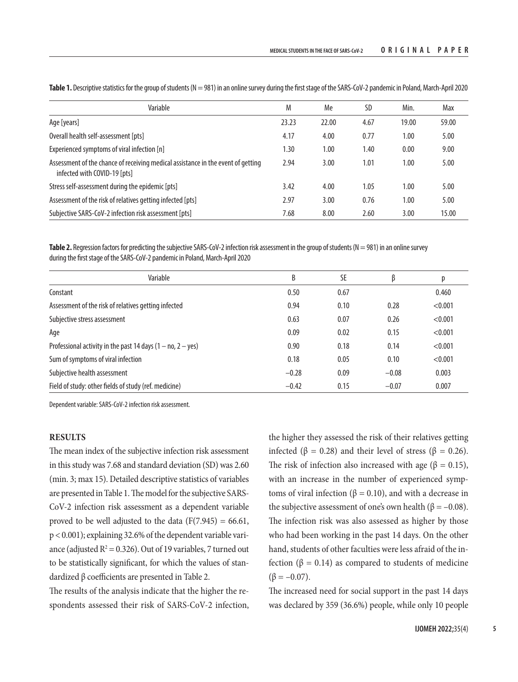| Variable                                                                                                         | M     | Me    | <b>SD</b> | Min.  | Max   |
|------------------------------------------------------------------------------------------------------------------|-------|-------|-----------|-------|-------|
| Age [years]                                                                                                      | 23.23 | 22.00 | 4.67      | 19.00 | 59.00 |
| Overall health self-assessment [pts]                                                                             | 4.17  | 4.00  | 0.77      | 1.00  | 5.00  |
| Experienced symptoms of viral infection [n]                                                                      | 1.30  | 1.00  | 1.40      | 0.00  | 9.00  |
| Assessment of the chance of receiving medical assistance in the event of getting<br>infected with COVID-19 [pts] | 2.94  | 3.00  | 1.01      | 1.00  | 5.00  |
| Stress self-assessment during the epidemic [pts]                                                                 | 3.42  | 4.00  | 1.05      | 1.00  | 5.00  |
| Assessment of the risk of relatives getting infected [pts]                                                       | 2.97  | 3.00  | 0.76      | 1.00  | 5.00  |
| Subjective SARS-CoV-2 infection risk assessment [pts]                                                            | 7.68  | 8.00  | 2.60      | 3.00  | 15.00 |

Table 1. Descriptive statistics for the group of students (N = 981) in an online survey during the first stage of the SARS-CoV-2 pandemic in Poland, March-April 2020

Table 2. Regression factors for predicting the subjective SARS-CoV-2 infection risk assessment in the group of students (N = 981) in an online survey during the first stage of the SARS-CoV-2 pandemic in Poland, March-April 2020

| Variable                                                      | B       | SE   |         | р       |
|---------------------------------------------------------------|---------|------|---------|---------|
| Constant                                                      | 0.50    | 0.67 |         | 0.460   |
| Assessment of the risk of relatives getting infected          | 0.94    | 0.10 | 0.28    | < 0.001 |
| Subjective stress assessment                                  | 0.63    | 0.07 | 0.26    | < 0.001 |
| Age                                                           | 0.09    | 0.02 | 0.15    | < 0.001 |
| Professional activity in the past 14 days $(1 - no, 2 - yes)$ | 0.90    | 0.18 | 0.14    | < 0.001 |
| Sum of symptoms of viral infection                            | 0.18    | 0.05 | 0.10    | < 0.001 |
| Subjective health assessment                                  | $-0.28$ | 0.09 | $-0.08$ | 0.003   |
| Field of study: other fields of study (ref. medicine)         | $-0.42$ | 0.15 | $-0.07$ | 0.007   |

Dependent variable: SARS-CoV-2 infection risk assessment.

## **RESULTS**

The mean index of the subjective infection risk assessment in this study was 7.68 and standard deviation (SD) was 2.60 (min. 3; max 15). Detailed descriptive statistics of variables are presented in Table 1. The model for the subjective SARS-CoV-2 infection risk assessment as a dependent variable proved to be well adjusted to the data  $(F(7.945) = 66.61,$ p < 0.001); explaining 32.6% of the dependent variable variance (adjusted  $R^2 = 0.326$ ). Out of 19 variables, 7 turned out to be statistically significant, for which the values of standardized β coefficients are presented in Table 2.

The results of the analysis indicate that the higher the respondents assessed their risk of SARS-CoV-2 infection,

the higher they assessed the risk of their relatives getting infected (β = 0.28) and their level of stress (β = 0.26). The risk of infection also increased with age ( $\beta = 0.15$ ), with an increase in the number of experienced symptoms of viral infection ( $β = 0.10$ ), and with a decrease in the subjective assessment of one's own health ( $β = -0.08$ ). The infection risk was also assessed as higher by those who had been working in the past 14 days. On the other hand, students of other faculties were less afraid of the infection (β = 0.14) as compared to students of medicine  $(\beta = -0.07)$ .

The increased need for social support in the past 14 days was declared by 359 (36.6%) people, while only 10 people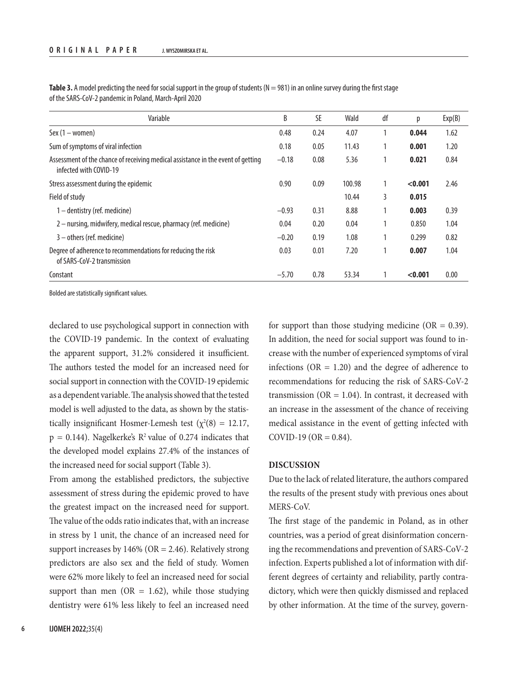| Variable                                                                                                   | B       | SE   | Wald   | df | р       | Exp(B) |
|------------------------------------------------------------------------------------------------------------|---------|------|--------|----|---------|--------|
| Sex $(1 - women)$                                                                                          | 0.48    | 0.24 | 4.07   |    | 0.044   | 1.62   |
| Sum of symptoms of viral infection                                                                         | 0.18    | 0.05 | 11.43  |    | 0.001   | 1.20   |
| Assessment of the chance of receiving medical assistance in the event of getting<br>infected with COVID-19 | $-0.18$ | 0.08 | 5.36   |    | 0.021   | 0.84   |
| Stress assessment during the epidemic                                                                      | 0.90    | 0.09 | 100.98 |    | < 0.001 | 2.46   |
| Field of study                                                                                             |         |      | 10.44  | 3  | 0.015   |        |
| $1$ – dentistry (ref. medicine)                                                                            | $-0.93$ | 0.31 | 8.88   |    | 0.003   | 0.39   |
| 2 - nursing, midwifery, medical rescue, pharmacy (ref. medicine)                                           | 0.04    | 0.20 | 0.04   |    | 0.850   | 1.04   |
| $3$ – others (ref. medicine)                                                                               | $-0.20$ | 0.19 | 1.08   |    | 0.299   | 0.82   |
| Degree of adherence to recommendations for reducing the risk<br>of SARS-CoV-2 transmission                 | 0.03    | 0.01 | 7.20   |    | 0.007   | 1.04   |
| Constant                                                                                                   | $-5.70$ | 0.78 | 53.34  |    | < 0.001 | 0.00   |

Table 3. A model predicting the need for social support in the group of students (N = 981) in an online survey during the first stage of the SARS-CoV-2 pandemic in Poland, March-April 2020

Bolded are statistically significant values.

declared to use psychological support in connection with the COVID-19 pandemic. In the context of evaluating the apparent support, 31.2% considered it insufficient. The authors tested the model for an increased need for social support in connection with the COVID-19 epidemic as a dependent variable. The analysis showed that the tested model is well adjusted to the data, as shown by the statistically insignificant Hosmer-Lemesh test  $(\chi^2(8) = 12.17,$  $p = 0.144$ ). Nagelkerke's  $R^2$  value of 0.274 indicates that the developed model explains 27.4% of the instances of the increased need for social support (Table 3).

From among the established predictors, the subjective assessment of stress during the epidemic proved to have the greatest impact on the increased need for support. The value of the odds ratio indicates that, with an increase in stress by 1 unit, the chance of an increased need for support increases by  $146\%$  (OR = 2.46). Relatively strong predictors are also sex and the field of study. Women were 62% more likely to feel an increased need for social support than men (OR  $=$  1.62), while those studying dentistry were 61% less likely to feel an increased need

for support than those studying medicine ( $OR = 0.39$ ). In addition, the need for social support was found to increase with the number of experienced symptoms of viral infections ( $OR = 1.20$ ) and the degree of adherence to recommendations for reducing the risk of SARS-CoV-2 transmission ( $OR = 1.04$ ). In contrast, it decreased with an increase in the assessment of the chance of receiving medical assistance in the event of getting infected with  $COVID-19 (OR = 0.84).$ 

## **DISCUSSION**

Due to the lack of related literature, the authors compared the results of the present study with previous ones about MERS-CoV.

The first stage of the pandemic in Poland, as in other countries, was a period of great disinformation concerning the recommendations and prevention of SARS-CoV-2 infection. Experts published a lot of information with different degrees of certainty and reliability, partly contradictory, which were then quickly dismissed and replaced by other information. At the time of the survey, govern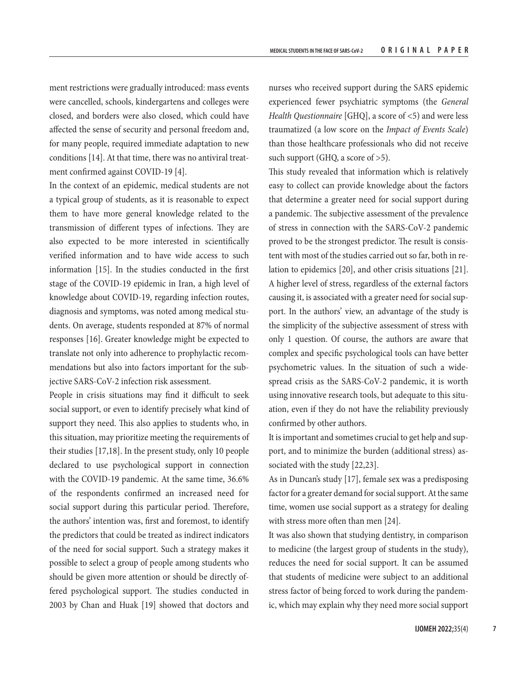ment restrictions were gradually introduced: mass events were cancelled, schools, kindergartens and colleges were closed, and borders were also closed, which could have affected the sense of security and personal freedom and, for many people, required immediate adaptation to new conditions [14]. At that time, there was no antiviral treatment confirmed against COVID-19 [4].

In the context of an epidemic, medical students are not a typical group of students, as it is reasonable to expect them to have more general knowledge related to the transmission of different types of infections. They are also expected to be more interested in scientifically verified information and to have wide access to such information [15]. In the studies conducted in the first stage of the COVID-19 epidemic in Iran, a high level of knowledge about COVID-19, regarding infection routes, diagnosis and symptoms, was noted among medical students. On average, students responded at 87% of normal responses [16]. Greater knowledge might be expected to translate not only into adherence to prophylactic recommendations but also into factors important for the subjective SARS-CoV-2 infection risk assessment.

People in crisis situations may find it difficult to seek social support, or even to identify precisely what kind of support they need. This also applies to students who, in this situation, may prioritize meeting the requirements of their studies [17,18]. In the present study, only 10 people declared to use psychological support in connection with the COVID-19 pandemic. At the same time, 36.6% of the respondents confirmed an increased need for social support during this particular period. Therefore, the authors' intention was, first and foremost, to identify the predictors that could be treated as indirect indicators of the need for social support. Such a strategy makes it possible to select a group of people among students who should be given more attention or should be directly offered psychological support. The studies conducted in 2003 by Chan and Huak [19] showed that doctors and

nurses who received support during the SARS epidemic experienced fewer psychiatric symptoms (the *General Health Questionnaire* [GHQ], a score of <5) and were less traumatized (a low score on the *Impact of Events Scale*) than those healthcare professionals who did not receive such support (GHQ, a score of >5).

This study revealed that information which is relatively easy to collect can provide knowledge about the factors that determine a greater need for social support during a pandemic. The subjective assessment of the prevalence of stress in connection with the SARS-CoV-2 pandemic proved to be the strongest predictor. The result is consistent with most of the studies carried out so far, both in relation to epidemics [20], and other crisis situations [21]. A higher level of stress, regardless of the external factors causing it, is associated with a greater need for social support. In the authors' view, an advantage of the study is the simplicity of the subjective assessment of stress with only 1 question. Of course, the authors are aware that complex and specific psychological tools can have better psychometric values. In the situation of such a widespread crisis as the SARS-CoV-2 pandemic, it is worth using innovative research tools, but adequate to this situation, even if they do not have the reliability previously confirmed by other authors.

It is important and sometimes crucial to get help and support, and to minimize the burden (additional stress) associated with the study [22,23].

As in Duncan's study [17], female sex was a predisposing factor for a greater demand for social support. At the same time, women use social support as a strategy for dealing with stress more often than men [24].

It was also shown that studying dentistry, in comparison to medicine (the largest group of students in the study), reduces the need for social support. It can be assumed that students of medicine were subject to an additional stress factor of being forced to work during the pandemic, which may explain why they need more social support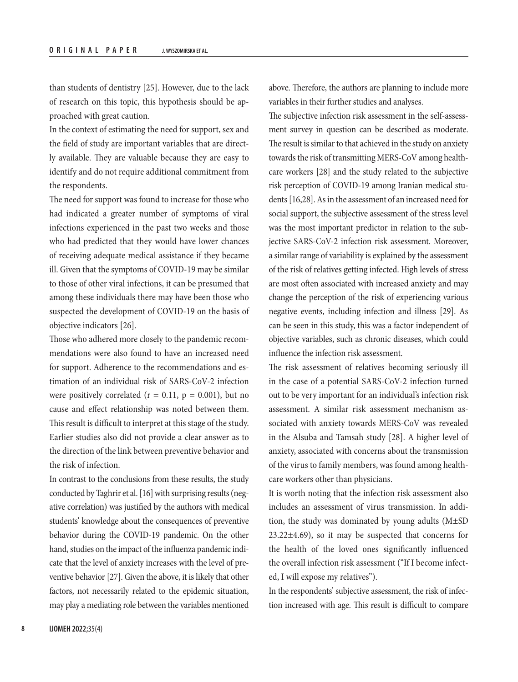than students of dentistry [25]. However, due to the lack of research on this topic, this hypothesis should be approached with great caution.

In the context of estimating the need for support, sex and the field of study are important variables that are directly available. They are valuable because they are easy to identify and do not require additional commitment from the respondents.

The need for support was found to increase for those who had indicated a greater number of symptoms of viral infections experienced in the past two weeks and those who had predicted that they would have lower chances of receiving adequate medical assistance if they became ill. Given that the symptoms of COVID-19 may be similar to those of other viral infections, it can be presumed that among these individuals there may have been those who suspected the development of COVID-19 on the basis of objective indicators [26].

Those who adhered more closely to the pandemic recommendations were also found to have an increased need for support. Adherence to the recommendations and estimation of an individual risk of SARS-CoV-2 infection were positively correlated ( $r = 0.11$ ,  $p = 0.001$ ), but no cause and effect relationship was noted between them. This result is difficult to interpret at this stage of the study. Earlier studies also did not provide a clear answer as to the direction of the link between preventive behavior and the risk of infection.

In contrast to the conclusions from these results, the study conducted by Taghrir et al. [16] with surprising results (negative correlation) was justified by the authors with medical students' knowledge about the consequences of preventive behavior during the COVID-19 pandemic. On the other hand, studies on the impact of the influenza pandemic indicate that the level of anxiety increases with the level of preventive behavior [27]. Given the above, it is likely that other factors, not necessarily related to the epidemic situation, may play a mediating role between the variables mentioned above. Therefore, the authors are planning to include more variables in their further studies and analyses.

The subjective infection risk assessment in the self-assessment survey in question can be described as moderate. The result is similar to that achieved in the study on anxiety towards the risk of transmitting MERS-CoV among healthcare workers [28] and the study related to the subjective risk perception of COVID-19 among Iranian medical students [16,28]. As in the assessment of an increased need for social support, the subjective assessment of the stress level was the most important predictor in relation to the subjective SARS-CoV-2 infection risk assessment. Moreover, a similar range of variability is explained by the assessment of the risk of relatives getting infected. High levels of stress are most often associated with increased anxiety and may change the perception of the risk of experiencing various negative events, including infection and illness [29]. As can be seen in this study, this was a factor independent of objective variables, such as chronic diseases, which could influence the infection risk assessment.

The risk assessment of relatives becoming seriously ill in the case of a potential SARS-CoV-2 infection turned out to be very important for an individual's infection risk assessment. A similar risk assessment mechanism associated with anxiety towards MERS-CoV was revealed in the Alsuba and Tamsah study [28]. A higher level of anxiety, associated with concerns about the transmission of the virus to family members, was found among healthcare workers other than physicians.

It is worth noting that the infection risk assessment also includes an assessment of virus transmission. In addition, the study was dominated by young adults  $(M \pm SD)$ 23.22±4.69), so it may be suspected that concerns for the health of the loved ones significantly influenced the overall infection risk assessment ("If I become infected, I will expose my relatives").

In the respondents' subjective assessment, the risk of infection increased with age. This result is difficult to compare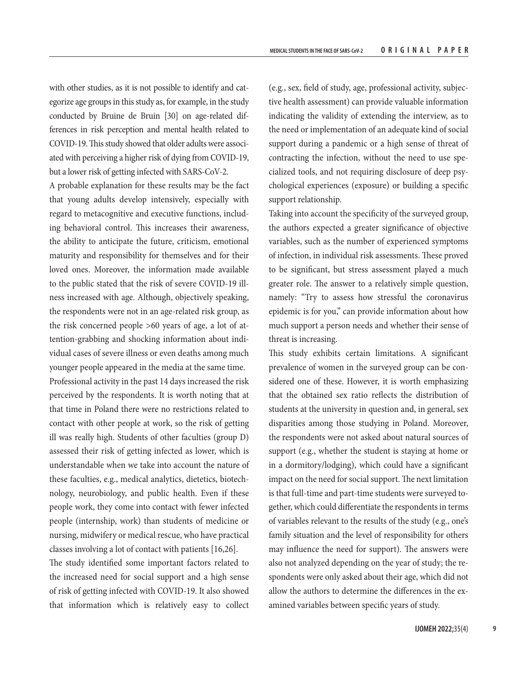with other studies, as it is not possible to identify and categorize age groups in this study as, for example, in the study conducted by Bruine de Bruin [30] on age-related differences in risk perception and mental health related to COVID-19. This study showed that older adults were associated with perceiving a higher risk of dying from COVID-19, but a lower risk of getting infected with SARS-CoV-2.

A probable explanation for these results may be the fact that young adults develop intensively, especially with regard to metacognitive and executive functions, including behavioral control. This increases their awareness, the ability to anticipate the future, criticism, emotional maturity and responsibility for themselves and for their loved ones. Moreover, the information made available to the public stated that the risk of severe COVID-19 illness increased with age. Although, objectively speaking, the respondents were not in an age-related risk group, as the risk concerned people >60 years of age, a lot of attention-grabbing and shocking information about individual cases of severe illness or even deaths among much younger people appeared in the media at the same time. Professional activity in the past 14 days increased the risk perceived by the respondents. It is worth noting that at that time in Poland there were no restrictions related to contact with other people at work, so the risk of getting ill was really high. Students of other faculties (group D) assessed their risk of getting infected as lower, which is understandable when we take into account the nature of these faculties, e.g., medical analytics, dietetics, biotechnology, neurobiology, and public health. Even if these people work, they come into contact with fewer infected people (internship, work) than students of medicine or nursing, midwifery or medical rescue, who have practical classes involving a lot of contact with patients [16,26].

The study identified some important factors related to the increased need for social support and a high sense of risk of getting infected with COVID-19. It also showed that information which is relatively easy to collect

(e.g., sex, field of study, age, professional activity, subjective health assessment) can provide valuable information indicating the validity of extending the interview, as to the need or implementation of an adequate kind of social support during a pandemic or a high sense of threat of contracting the infection, without the need to use specialized tools, and not requiring disclosure of deep psychological experiences (exposure) or building a specific support relationship.

Taking into account the specificity of the surveyed group, the authors expected a greater significance of objective variables, such as the number of experienced symptoms of infection, in individual risk assessments. These proved to be significant, but stress assessment played a much greater role. The answer to a relatively simple question, namely: "Try to assess how stressful the coronavirus epidemic is for you," can provide information about how much support a person needs and whether their sense of threat is increasing.

This study exhibits certain limitations. A significant prevalence of women in the surveyed group can be considered one of these. However, it is worth emphasizing that the obtained sex ratio reflects the distribution of students at the university in question and, in general, sex disparities among those studying in Poland. Moreover, the respondents were not asked about natural sources of support (e.g., whether the student is staying at home or in a dormitory/lodging), which could have a significant impact on the need for social support. The next limitation is that full-time and part-time students were surveyed together, which could differentiate the respondents in terms of variables relevant to the results of the study (e.g., one's family situation and the level of responsibility for others may influence the need for support). The answers were also not analyzed depending on the year of study; the respondents were only asked about their age, which did not allow the authors to determine the differences in the examined variables between specific years of study.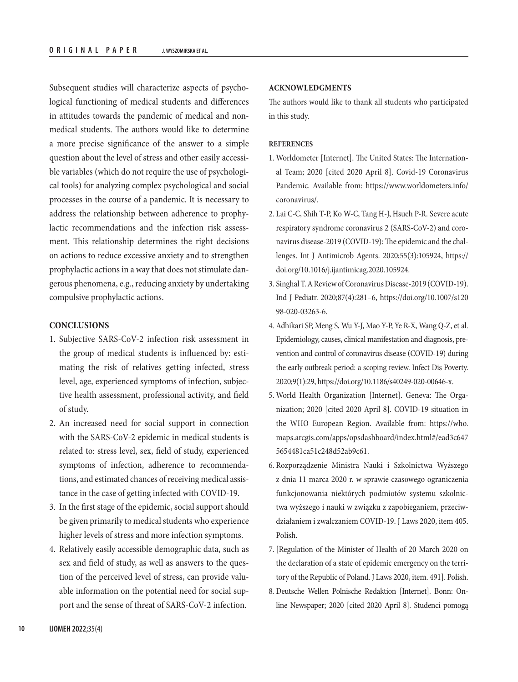Subsequent studies will characterize aspects of psychological functioning of medical students and differences in attitudes towards the pandemic of medical and nonmedical students. The authors would like to determine a more precise significance of the answer to a simple question about the level of stress and other easily accessible variables (which do not require the use of psychological tools) for analyzing complex psychological and social processes in the course of a pandemic. It is necessary to address the relationship between adherence to prophylactic recommendations and the infection risk assessment. This relationship determines the right decisions on actions to reduce excessive anxiety and to strengthen prophylactic actions in a way that does not stimulate dangerous phenomena, e.g., reducing anxiety by undertaking compulsive prophylactic actions.

## **CONCLUSIONS**

- 1. Subjective SARS-CoV-2 infection risk assessment in the group of medical students is influenced by: estimating the risk of relatives getting infected, stress level, age, experienced symptoms of infection, subjective health assessment, professional activity, and field of study.
- 2. An increased need for social support in connection with the SARS-CoV-2 epidemic in medical students is related to: stress level, sex, field of study, experienced symptoms of infection, adherence to recommendations, and estimated chances of receiving medical assistance in the case of getting infected with COVID-19.
- 3. In the first stage of the epidemic, social support should be given primarily to medical students who experience higher levels of stress and more infection symptoms.
- 4. Relatively easily accessible demographic data, such as sex and field of study, as well as answers to the question of the perceived level of stress, can provide valuable information on the potential need for social support and the sense of threat of SARS-CoV-2 infection.

### **ACKNOWLEDGMENTS**

The authors would like to thank all students who participated in this study.

### **REFERENCES**

- 1. Worldometer [Internet]. The United States: The International Team; 2020 [cited 2020 April 8]. Covid-19 Coronavirus Pandemic. Available from: [https://www.worldometers.info/](https://www.worldometers.info/coronavirus/) [coronavirus/](https://www.worldometers.info/coronavirus/).
- 2. Lai C-C, Shih T-P, Ko W-C, Tang H-J, Hsueh P-R. Severe acute respiratory syndrome coronavirus 2 (SARS-CoV-2) and coronavirus disease-2019 (COVID-19): The epidemic and the challenges. Int J Antimicrob Agents. 2020;55(3):105924, [https://](https://doi.org/10.1016/j.ijantimicag.2020.105924) [doi.org/10.1016/j.ijantimicag.2020.105924](https://doi.org/10.1016/j.ijantimicag.2020.105924).
- 3. Singhal T. A Review of Coronavirus Disease-2019 (COVID-19). Ind J Pediatr. 2020;87(4):281–6, [https://doi.org/10.1007/s120](https://doi.org/10.1007/s12098-020-03263-6) [98-020-03263-6](https://doi.org/10.1007/s12098-020-03263-6).
- 4. Adhikari SP, Meng S, Wu Y-J, Mao Y-P, Ye R-X, Wang Q-Z, et al. Epidemiology, causes, clinical manifestation and diagnosis, prevention and control of coronavirus disease (COVID-19) during the early outbreak period: a scoping review. Infect Dis Poverty. 2020;9(1):29, [https://doi.org/10.1186/s40249-020-00646-x.](https://doi.org/10.1186/s40249-020-00646-x)
- 5. World Health Organization [Internet]. Geneva: The Organization; 2020 [cited 2020 April 8]. COVID-19 situation in the WHO European Region. Available from: https://who. maps.arcgis.com/apps/opsdashboard/index.html#/ead3c647 5654481ca51c248d52ab9c61.
- 6. Rozporządzenie Ministra Nauki i Szkolnictwa Wyższego z dnia 11 marca 2020 r. w sprawie czasowego ograniczenia funkcjonowania niektórych podmiotów systemu szkolnictwa wyższego i nauki w związku z zapobieganiem, przeciwdziałaniem i zwalczaniem COVID-19. J Laws 2020, item 405. Polish.
- 7. [Regulation of the Minister of Health of 20 March 2020 on the declaration of a state of epidemic emergency on the territory of the Republic of Poland. J Laws 2020, item. 491]. Polish.
- 8. Deutsche Wellen Polnische Redaktion [Internet]. Bonn: Online Newspaper; 2020 [cited 2020 April 8]. Studenci pomogą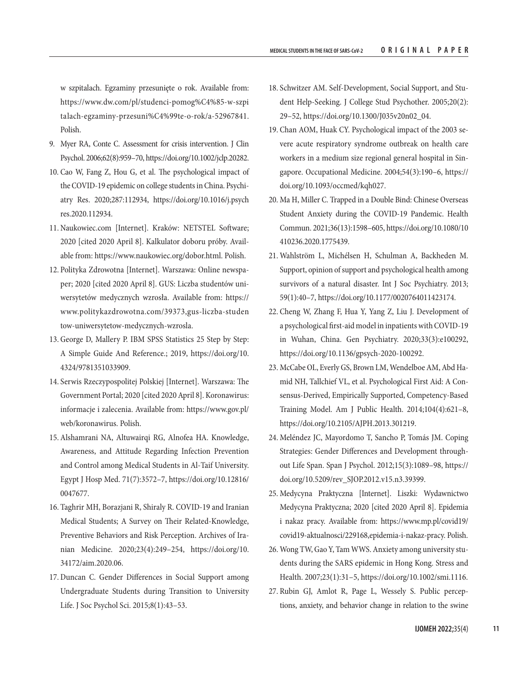w szpitalach. Egzaminy przesunięte o rok. Available from: [https://www.dw.com/pl/studenci-pomog%C4%85-w-szpi](https://www.dw.com/pl/studenci-pomog%C4%85-w-szpitalach-egzaminy-przesuni%C4%99te-o-rok/a-52967841) [talach-egzaminy-przesuni%C4%99te-o-rok/a-52967841](https://www.dw.com/pl/studenci-pomog%C4%85-w-szpitalach-egzaminy-przesuni%C4%99te-o-rok/a-52967841). Polish.

- 9. Myer RA, Conte C. Assessment for crisis intervention. J Clin Psychol. 2006;62(8):959–70,<https://doi.org/10.1002/jclp.20282>.
- 10. Cao W, Fang Z, Hou G, et al. The psychological impact of the COVID-19 epidemic on college students in China. Psychiatry Res. 2020;287:112934, [https://doi.org/10.1016/j.psych](https://doi.org/10.1016/j.psychres.2020.112934) [res.2020.112934](https://doi.org/10.1016/j.psychres.2020.112934).
- 11. Naukowiec.com [Internet]. Kraków: NETSTEL Software; 2020 [cited 2020 April 8]. Kalkulator doboru próby. Available from: <https://www.naukowiec.org/dobor.html>. Polish.
- 12. Polityka Zdrowotna [Internet]. Warszawa: Online newspaper; 2020 [cited 2020 April 8]. GUS: Liczba studentów uniwersytetów medycznych wzrosła. Available from: [https://](https://www.politykazdrowotna.com/39373,gus-liczba-studentow-uniwersytetow-medycznych-wzrosla) [www.politykazdrowotna.com/39373,gus-liczba-studen](https://www.politykazdrowotna.com/39373,gus-liczba-studentow-uniwersytetow-medycznych-wzrosla) [tow-uniwersytetow-medycznych-wzrosla.](https://www.politykazdrowotna.com/39373,gus-liczba-studentow-uniwersytetow-medycznych-wzrosla)
- 13. George D, Mallery P. IBM SPSS Statistics 25 Step by Step: A Simple Guide And Reference.; 2019, [https://doi.org/10.](https://doi.org/10.4324/9781351033909) [4324/9781351033909.](https://doi.org/10.4324/9781351033909)
- 14. Serwis Rzeczypospolitej Polskiej [Internet]. Warszawa: The Government Portal; 2020 [cited 2020 April 8]. Koronawirus: informacje i zalecenia. Available from: [https://www.gov.pl/](https://www.gov.pl/web/koronawirus) [web/koronawirus.](https://www.gov.pl/web/koronawirus) Polish.
- 15. Alshamrani NA, Altuwairqi RG, Alnofea HA. Knowledge, Awareness, and Attitude Regarding Infection Prevention and Control among Medical Students in Al-Taif University. Egypt J Hosp Med. 71(7):3572–7[, https://doi.org/10.12816/]( https:/doi.org/10.12816/0047677) [0047677.]( https:/doi.org/10.12816/0047677)
- 16. Taghrir MH, Borazjani R, Shiraly R. COVID-19 and Iranian Medical Students; A Survey on Their Related-Knowledge, Preventive Behaviors and Risk Perception. Archives of Iranian Medicine. 2020;23(4):249–254[, https://doi.org/10.]( https:/doi.org/10.34172/aim.2020.06) [34172/aim.2020.06.]( https:/doi.org/10.34172/aim.2020.06)
- 17. Duncan C. Gender Differences in Social Support among Undergraduate Students during Transition to University Life. J Soc Psychol Sci. 2015;8(1):43–53.
- 18. Schwitzer AM. Self-Development, Social Support, and Student Help-Seeking. J College Stud Psychother. 2005;20(2): 29–52, [https://doi.org/10.1300/J035v20n02\\_04.](https://doi.org/10.1300/J035v20n02_04)
- 19. Chan AOM, Huak CY. Psychological impact of the 2003 severe acute respiratory syndrome outbreak on health care workers in a medium size regional general hospital in Singapore. Occupational Medicine. 2004;54(3):190–6, [https://](https://doi.org/10.1093/occmed/kqh027) [doi.org/10.1093/occmed/kqh027.](https://doi.org/10.1093/occmed/kqh027)
- 20. Ma H, Miller C. Trapped in a Double Bind: Chinese Overseas Student Anxiety during the COVID-19 Pandemic. Health Commun. 2021;36(13):1598–605, [https://doi.org/10.1080/10](https://doi.org/10.1080/10410236.2020.1775439) [410236.2020.1775439.](https://doi.org/10.1080/10410236.2020.1775439)
- 21. Wahlström L, Michélsen H, Schulman A, Backheden M. Support, opinion of support and psychological health among survivors of a natural disaster. Int J Soc Psychiatry. 2013; 59(1):40–7, <https://doi.org/10.1177/0020764011423174>.
- 22. Cheng W, Zhang F, Hua Y, Yang Z, Liu J. Development of a psychological first-aid model in inpatients with COVID-19 in Wuhan, China. Gen Psychiatry. 2020;33(3):e100292, <https://doi.org/10.1136/gpsych-2020-100292>.
- 23. McCabe OL, Everly GS, Brown LM, Wendelboe AM, Abd Hamid NH, Tallchief VL, et al. Psychological First Aid: A Consensus-Derived, Empirically Supported, Competency-Based Training Model. Am J Public Health. 2014;104(4):621–8, [https://doi.org/10.2105/AJPH.2013.301219.]( https:/doi.org/10.2105/AJPH.2013.301219)
- 24. Meléndez JC, Mayordomo T, Sancho P, Tomás JM. Coping Strategies: Gender Differences and Development throughout Life Span. Span J Psychol. 2012;15(3):1089–98, [https://](https://doi.org/10.5209/rev_SJOP.2012.v15.n3.39399) [doi.org/10.5209/rev\\_SJOP.2012.v15.n3.39399](https://doi.org/10.5209/rev_SJOP.2012.v15.n3.39399).
- 25. Medycyna Praktyczna [Internet]. Liszki: Wydawnictwo Medycyna Praktyczna; 2020 [cited 2020 April 8]. Epidemia i nakaz pracy. Available from: [https://www.mp.pl/covid19/](https://www.mp.pl/covid19/covid19-aktualnosci/229168,epidemia-i-nakaz-pracy) [covid19-aktualnosci/229168,epidemia-i-nakaz-pracy](https://www.mp.pl/covid19/covid19-aktualnosci/229168,epidemia-i-nakaz-pracy). Polish.
- 26. Wong TW, Gao Y, Tam WWS. Anxiety among university students during the SARS epidemic in Hong Kong. Stress and Health. 2007;23(1):31–5, [https://doi.org/10.1002/smi.1116.](https://doi.org/10.1002/smi.1116)
- 27. Rubin GJ, Amlot R, Page L, Wessely S. Public perceptions, anxiety, and behavior change in relation to the swine